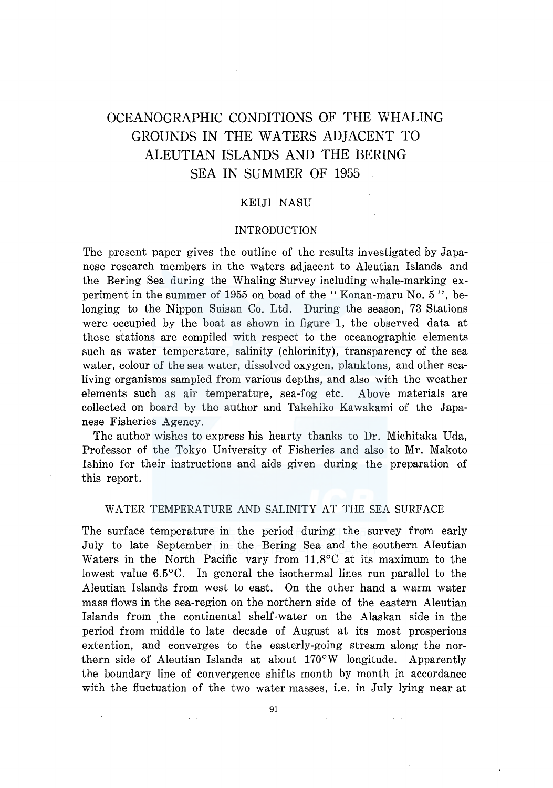# OCEANOGRAPHIC CONDITIONS OF THE WHALING GROUNDS IN THE WATERS ADJACENT TO ALEUTIAN ISLANDS AND THE BERING SEA IN SUMMER OF 1955

# KEIJI NASU

## INTRODUCTION

The present paper gives the outline of the results investigated by Japanese research members in the waters adjacent to Aleutian Islands and the Bering Sea during the Whaling Survey including whale-marking experiment in the summer of 1955 on boad of the "Konan-maru No. 5 ", belonging to the Nippon Suisan Co. Ltd. During the season, 73 Stations were occupied by the boat as shown in figure 1, the observed data at these stations are compiled with respect to the oceanographic elements such as water temperature, salinity (chlorinity), transparency of the sea water, colour of the sea water, dissolved oxygen, planktons, and other sealiving organisms sampled from various depths, and also with the weather elements such as air temperature, sea-fog etc. Above materials are collected on board by the author and Takehiko Kawakami of the Japanese Fisheries Agency.

The author wishes to express his hearty thanks to Dr. Michitaka Uda, Professor of the Tokyo University of Fisheries and also to Mr. Makoto Ishino for their instructions and aids given during the preparation of this report.

## WATER TEMPERATURE AND SALINITY AT THE SEA SURFACE

The surface temperature in the period during the survey from early July to late September in the Bering Sea and the southern Aleutian Waters in the North Pacific vary from 11.8°C at its maximum to the lowest value 6.5°C. In general the isothermal lines run parallel to the Aleutian Islands from west to east. On the other hand a warm water mass flows in the sea-region on the northern side of the eastern Aleutian Islands from the continental shelf-water on the Alaskan side in the period from middle to late decade of August at its most prosperious extention, and converges to the easterly-going stream along the northern side of Aleutian Islands at about 170°W longitude. Apparently the boundary line of convergence shifts month by month in accordance with the fluctuation of the two water masses, i.e. in July lying near at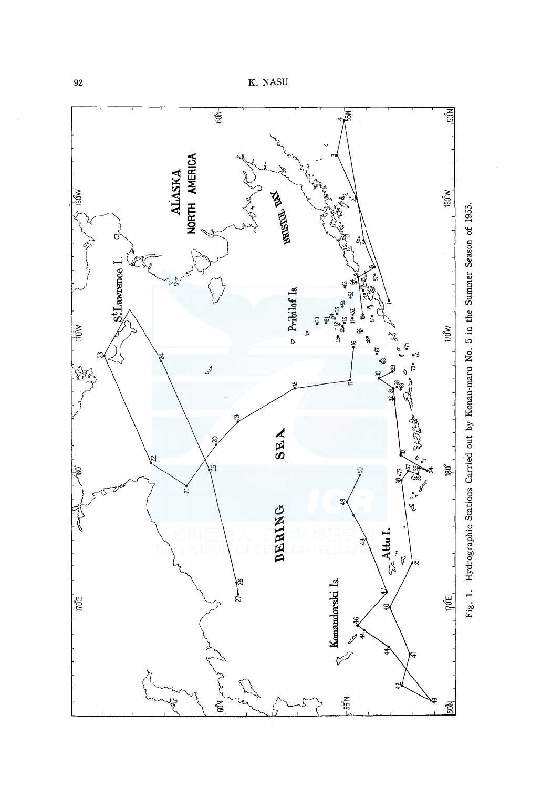

<sup>92</sup>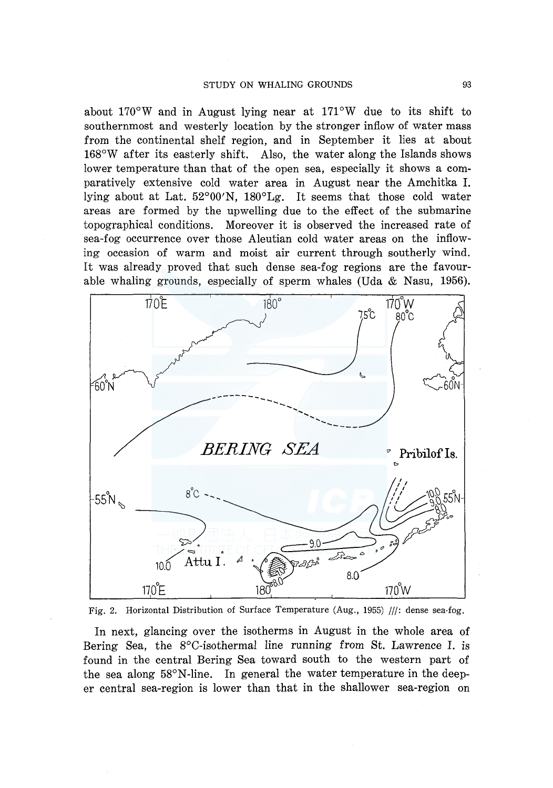about 170°W and in August lying near at 171°W due to its shift to southernmost and westerly location by the stronger inflow of water mass from the continental shelf region, and in September it lies at about 168°W after its easterly shift. Also, the water along the Islands shows lower temperature than that of the open sea, especially it shows a comparatively extensive cold water area in August near the Amchitka I. lying about at Lat. 52°00'N, 180°Lg. It seems that those cold water areas are formed by the upwelling due to the effect of the submarine topographical conditions. Moreover it is observed the increased rate of sea-fog occurrence over those Aleutian cold water areas on the inflowing occasion of warm and moist air current through southerly wind. It was already proved that such dense sea-fog regions are the favourable whaling grounds, especially of sperm whales (Uda & Nasu, 1956).



Fig. 2. Horizontal Distribution of Surface Temperature (Aug., 1955) ///: dense sea-fog.

In next, glancing over the isotherms in August in the whole area of Bering Sea, the 8°C-isothermal line running from St. Lawrence I. is found in the central Bering Sea toward south to the western part of the sea along 58°N-line. In general the water temperature in the deeper central sea-region is lower than that in the shallower sea-region on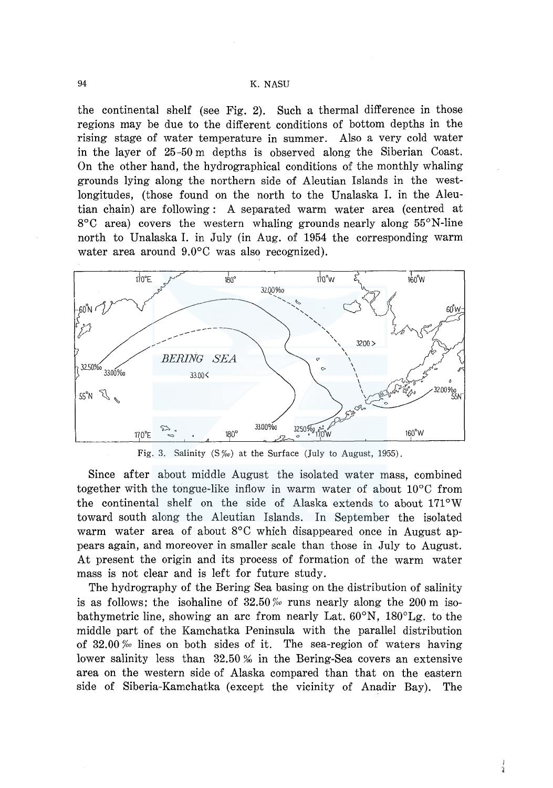## 94 K. NASU

the continental shelf (see Fig. 2). Such a thermal difference in those regions may be due to the different conditions of bottom depths in the rising stage of water temperature in summer. Also a very cold water in the layer of 25-50 m depths is observed along the Siberian Coast. On the other hand, the hydrographical conditions of the monthly whaling grounds lying along the northern side of Aleutian Islands in the westlongitudes, (those found on the north to the Unalaska I. in the Aleutian chain) are following: A separated warm water area (centred at 8°C area) covers the western whaling grounds nearly along 55°N-line north to Unalaska I. in July (in Aug. of 1954 the corresponding warm water area around 9.0°C was also recognized).





Since after about middle August the isolated water mass, combined together with the tongue-like inflow in warm water of about 10°C from the continental shelf on the side of Alaska extends to about  $171^{\circ}$ W toward south along the Aleutian Islands. In September the isolated warm water area of about 8°C which disappeared once in August appears again, and moreover in smaller scale than those in July to August. At present the origin and its process of formation of the warm water mass is not clear and is left for future study.

The hydrography of the Bering Sea basing on the distribution of salinity is as follows; the isohaline of 32.50 *%0* runs nearly along the 200 m isobathymetric line, showing an arc from nearly Lat. 60°N, 180°Lg. to the middle part of the Kamchatka Peninsula with the parallel distribution of 32.00 *%0* lines on both sides of it. The sea-region of waters having lower salinity less than  $32.50\%$  in the Bering-Sea covers an extensive area on the western side of Alaska compared than that on the eastern side of Siberia-Kamchatka (except the vicinity of Anadir Bay). The

 $\frac{1}{2}$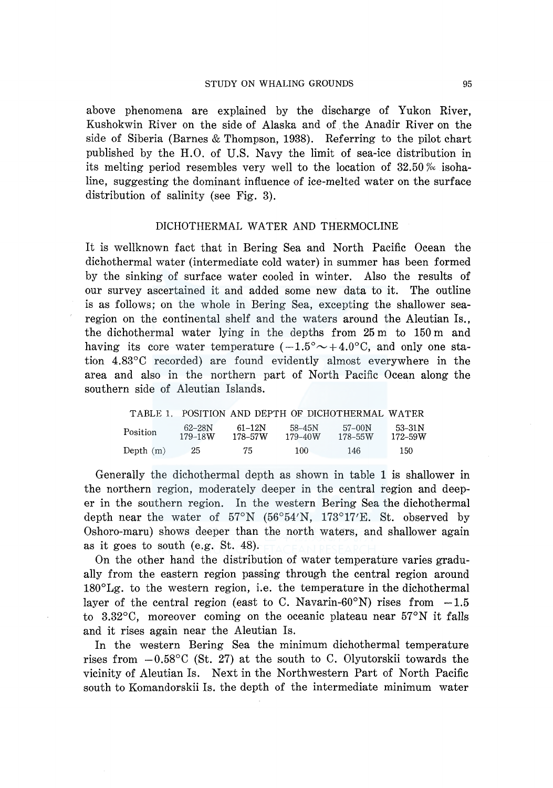above phenomena are explained by the discharge of Yukon River, Kushokwin River on the side of Alaska and of the Anadir River on the side of Siberia (Barnes & Thompson, 1938). Referring to the pilot chart published by the H.0. of U.S. Navy the limit of sea-ice distribution in its melting period resembles very well to the location of 32.50 *%c* isohaline, suggesting the dominant influence of ice-melted water on the surface distribution of salinity (see Fig. 3).

## DICHOTHERMAL WATER AND THERMOCLINE

It is wellknown fact that in Bering Sea and North Pacific Ocean the dichothermal water (intermediate cold water) in summer has been formed by the sinking of surface water cooled in winter. Also the results of our survey ascertained it and added some new data to it. The outline is as follows; on the whole in Bering Sea, excepting the shallower searegion on the continental shelf and the waters around the Aleutian Is., the dichothermal water lying in the depths from 25 m to 150 m and having its core water temperature  $(-1.5^{\circ} \sim +4.0^{\circ} \text{C}$ , and only one station 4.83°C recorded) are found evidently almost everywhere in the area and also in the northern part of North Pacific Ocean along the southern side of Aleutian Islands.

| TABLE 1.    |                   |                   | POSITION AND DEPTH OF DICHOTHERMAL WATER |                         |                           |
|-------------|-------------------|-------------------|------------------------------------------|-------------------------|---------------------------|
| Position    | 62–28N<br>179–18W | 61–12N<br>178–57W | 58–45N<br>$179 - 40W$                    | $57-00N$<br>$178 - 55W$ | $53 - 31N$<br>$172 - 59W$ |
| Depth $(m)$ | 25.               | 75                | 100.                                     | 146                     | 150                       |

Generally the dichothermal depth as shown in table 1 is shallower in the northern region, moderately deeper in the central region and deeper in the southern region. In the western Bering Sea the dichothermal depth near the water of  $57^{\circ}\text{N}$  ( $56^{\circ}54'\text{N}$ ,  $173^{\circ}17'\text{E}$ . St. observed by Oshoro-maru) shows deeper than the north waters, and shallower again as it goes to south (e.g. St. 48).

On the other hand the distribution of water temperature varies gradually from the eastern region passing through the central region around 180°Lg. to the western region, i.e. the temperature in the dichothermal layer of the central region (east to C. Navarin-60°N) rises from  $-1.5$ to 3.32°C, moreover coming on the oceanic plateau near 57°N it falls and it rises again near the Aleutian Is.

In the western Bering Sea the minimum dichothermal temperature rises from  $-0.58\degree$ C (St. 27) at the south to C. Olyutorskii towards the vicinity of Aleutian Is. Next in the Northwestern Part of North Pacific south to Komandorskii Is. the depth of the intermediate minimum water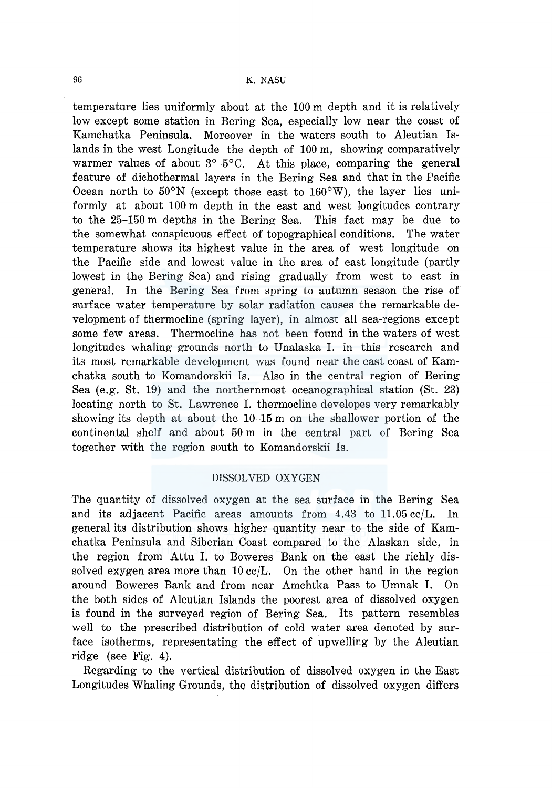temperature lies uniformly about at the 100 m depth and it is relatively low except some station in Bering Sea, especially low near the coast of Kamchatka Peninsula. Moreover in the waters south to Aleutian Islands in the west Longitude the depth of 100 m, showing comparatively warmer values of about  $3^{\circ}-5^{\circ}$ C. At this place, comparing the general feature of dichothermal layers in the Bering Sea and that in the Pacific Ocean north to  $50^{\circ}$ N (except those east to  $160^{\circ}$ W), the layer lies uniformly at about 100 m depth in the east and west longitudes contrary to the 25-150 m depths in the Bering Sea. This fact may be due to the somewhat conspicuous effect of topographical conditions. The water temperature shows its highest value in the area of west longitude on the Pacific side and lowest value in the area of east longitude (partly lowest in the Bering Sea) and rising gradually from west to east in general. In the Bering Sea from spring to autumn season the rise of surface water temperature by solar radiation causes the remarkable development of thermocline (spring layer), in almost all sea-regions except some few areas. Thermocline has not been found in the waters of west longitudes whaling grounds north to Unalaska I. in this research and its most remarkable development was found near the east coast of Kamchatka south to Komandorskii Is. Also in the central region of Bering Sea (e.g. St. 19) and the northernmost oceanographical station (St. 23) locating north to St. Lawrence I. thermocline developes very remarkably showing its depth at about the 10-15 m on the shallower portion of the continental shelf and about 50 m in the central part of Bering Sea together with the region south to Komandorskii Is.

## DISSOLVED OXYGEN

The quantity of dissolved oxygen at the sea surface in the Bering Sea and its adjacent Pacific areas amounts from 4.43 to 11.05 cc/L. In general its distribution shows higher quantity near to the side of Kamchatka Peninsula and Siberian Coast compared to the Alaskan side, in the region from Attu I. to Boweres Bank on the east the richly dissolved exygen area more than  $10 \text{ cc/L}$ . On the other hand in the region around Boweres Bank and from near Amchtka Pass to Umnak I. On the both sides of Aleutian Islands the poorest area of dissolved oxygen is found in the surveyed region of Bering Sea. Its pattern resembles well to the prescribed distribution of cold water area denoted by surface isotherms, representating the effect of upwelling by the Aleutian ridge (see Fig. 4).

Regarding to the vertical distribution of dissolved oxygen in the East Longitudes Whaling Grounds, the distribution of dissolved oxygen differs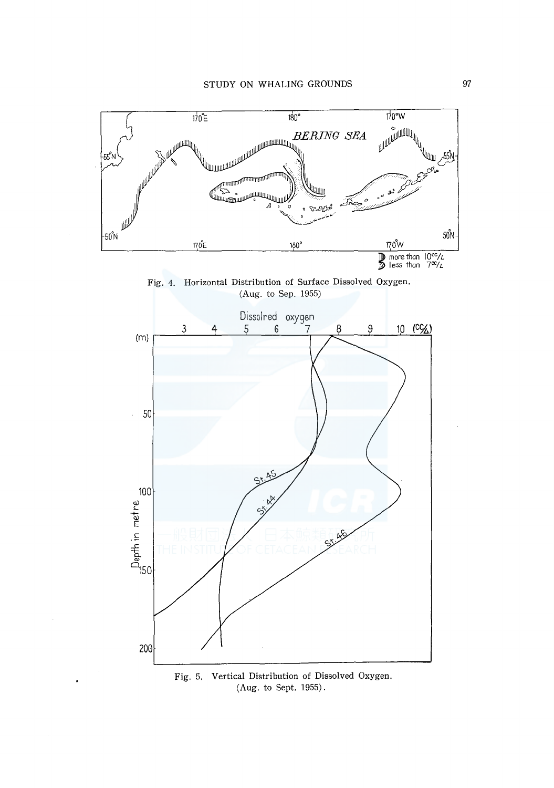

Fig. 4. Horizontal Distribution of Surface Dissolved Oxygen. (Aug. to Sep. 1955)



Fig. 5. Vertical Distribution of Dissolved Oxygen. (Aug. to Sept. 1955).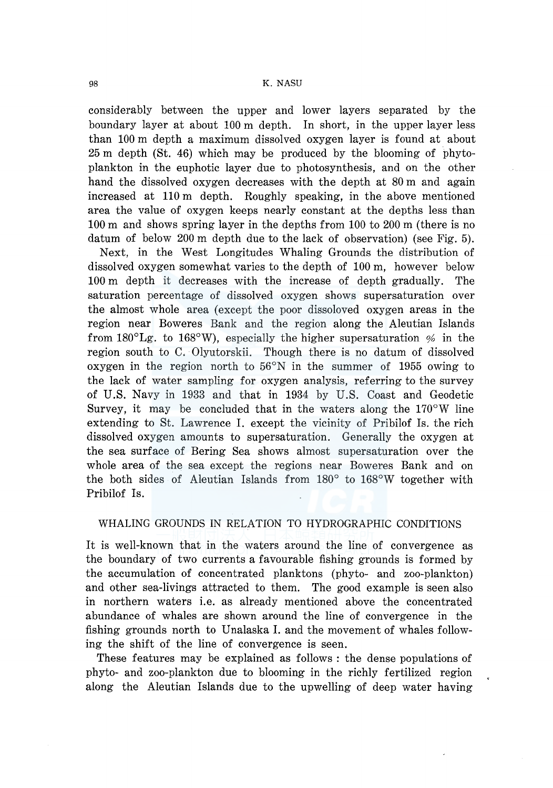### 98 K. NASU

considerably between the upper and lower layers separated by the boundary layer at about 100 m depth. In short, in the upper layer less than 100 m depth a maximum dissolved oxygen layer is found at about 25 m depth (St. 46) which may be produced by the blooming of phytoplankton in the euphotic layer due to photosynthesis, and on the other hand the dissolved oxygen decreases with the depth at 80 m and again increased at 110 m depth. Roughly speaking, in the above mentioned area the value of oxygen keeps nearly constant at the depths less than 100 m and shows spring layer in the depths from 100 to 200 m (there is no datum of below 200 m depth due to the lack of observation) (see Fig. 5).

Next, in the West Longitudes Whaling Grounds the distribution of dissolved oxygen somewhat varies to the depth of 100 m, however below 100 m depth it decreases with the increase of depth gradually. The saturation percentage of dissolved oxygen shows supersaturation over the almost whole area (except the poor dissoloved oxygen areas in the region near Boweres Bank and the region along the Aleutian Islands from  $180^{\circ}$ Lg. to  $168^{\circ}$ W), especially the higher supersaturation % in the region south to C. Olyutorskii. Though there is no datum of dissolved oxygen in the region north to  $56^{\circ}$ N in the summer of 1955 owing to the lack of water sampling for oxygen analysis, referring to the survey of U.S. Navy in 1933 and that in 1934 by U.S. Coast and Geodetic Survey, it may be concluded that in the waters along the  $170^{\circ}$ W line extending to St. Lawrence I. except the vicinity of Pribilof Is. the rich dissolved oxygen amounts to supersaturation. Generally the oxygen at the sea surface of Bering Sea shows almost supersaturation over the whole area of the sea except the regions near Boweres Bank and on the both sides of Aleutian Islands from 180° to 168°W together with Pribilof Is.

# WHALING GROUNDS IN RELATION TO HYDROGRAPHIC CONDITIONS

It is well-known that in the waters around the line of convergence as the boundary of two currents a favourable fishing grounds is formed by the accumulation of concentrated planktons (phyto- and zoo-plankton) and other sea-livings attracted to them. The good example is seen also in northern waters i.e. as already mentioned above the concentrated abundance of whales are shown around the line of convergence in the fishing grounds north to Unalaska I. and the movement of whales following the shift of the line of convergence is seen.

These features may be explained as follows : the dense populations of phyto- and zoo-plankton due to blooming in the richly fertilized region along the Aleutian Islands due to the upwelling of deep water having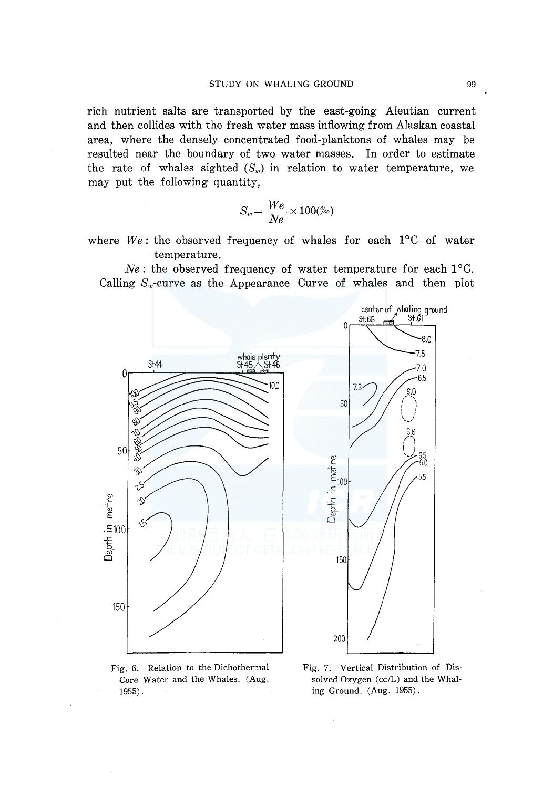rich nutrient salts are transported by the east-going Aleutian current and then collides with the fresh water mass inflowing from Alaskan coastal area, where the densely concentrated food-planktons of whales may be resulted near the boundary of two water masses. In order to estimate the rate of whales sighted  $(S_w)$  in relation to water temperature, we may put the following quantity,

$$
S_w = \frac{We}{Ne} \times 100\%o)
$$

where  $We$ : the observed frequency of whales for each  $1^{\circ}$ C of water temperature.

 $Ne$ : the observed frequency of water temperature for each  $1^{\circ}$ C. Calling  $S_w$ -curve as the Appearance Curve of whales and then plot



Fig. 6. Relation to the Dichothermal Core Water and the Whales. (Aug. 1955).

Fig. 7. Vertical Distribution of Dissolved Oxygen (cc/L) and the Whaling Ground. (Aug. 1955).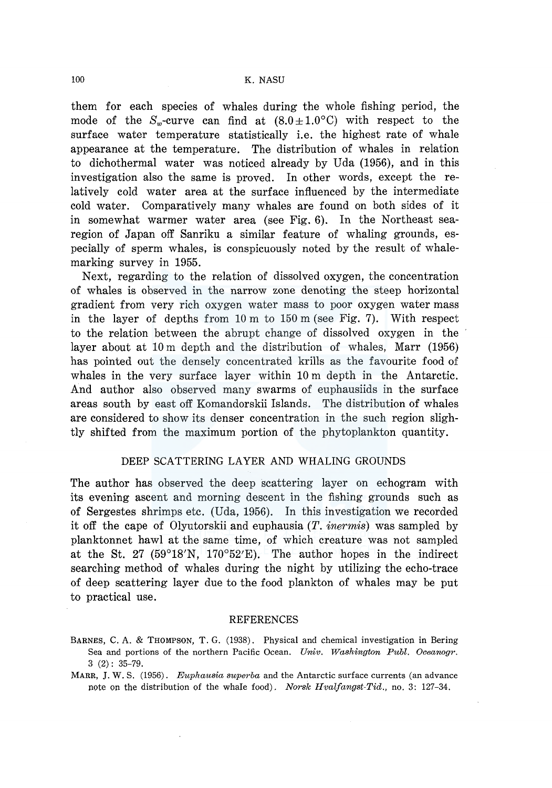them for each species of whales during the whole fishing period, the mode of the  $S_w$ -curve can find at  $(8.0 \pm 1.0^{\circ} \text{C})$  with respect to the surface water temperature statistically i.e. the highest rate of whale appearance at the temperature. The distribution of whales in relation to dichothermal water was noticed already by Uda (1956), and in this investigation also the same is proved. In other words, except the relatively cold water area at the surface influenced by the intermediate cold water. Comparatively many whales are found on both sides of it in somewhat warmer water area (see Fig. 6). In the Northeast searegion of Japan off Sanriku a similar feature of whaling grounds, especially of sperm whales, is conspicuously noted by the result of whalemarking survey in 1955.

Next, regarding to the relation of dissolved oxygen, the concentration of whales is observed in the narrow zone denoting the steep horizontal gradient from very rich oxygen water mass to poor oxygen water mass in the layer of depths from 10 m to 150 m (see Fig. 7). With respect to the relation between the abrupt change of dissolved oxygen in the layer about at 10 m depth and the distribution of whales, Marr (1956) has pointed out the densely concentrated krills as the favourite food of whales in the very surface layer within 10 m depth in the Antarctic. And author also observed many swarms of euphausiids in the surface areas south by east off Komandorskii Islands. The distribution of whales are considered to show its denser concentration in the such region slightly shifted from the maximum portion of the phytoplankton quantity.

## DEEP SCATTERING LAYER AND WHALING GROUNDS

The author has observed the deep scattering layer on echogram with its evening ascent and morning descent in the fishing grounds such as of Sergestes shrimps etc. (Uda, 1956). In this investigation we recorded it off the cape of Olyutorskii and euphausia (T. *inermis)* was sampled by planktonnet hawl at the same time, of which creature was not sampled at the St. 27 (59°18'N, 170°52'E). The author hopes in the indirect searching method of whales during the night by utilizing the echo-trace of deep scattering layer due to the food plankton of whales may be put to practical use.

#### REFERENCES

BARNES, C. A. & THOMPSON, T. G. (1938). Physical and chemical investigation in Bering Sea and portions of the northern Pacific Ocean. *Univ. Washington Publ. Oceanogr.*  3 (2): 35-79.

MARR, J. W. S. (1956). *Euphausia superba* and the Antarctic surface currents (an advance note on the distribution of the whale food). *Norsk Hvalfangst-Tid.,* no. 3: 127-34.